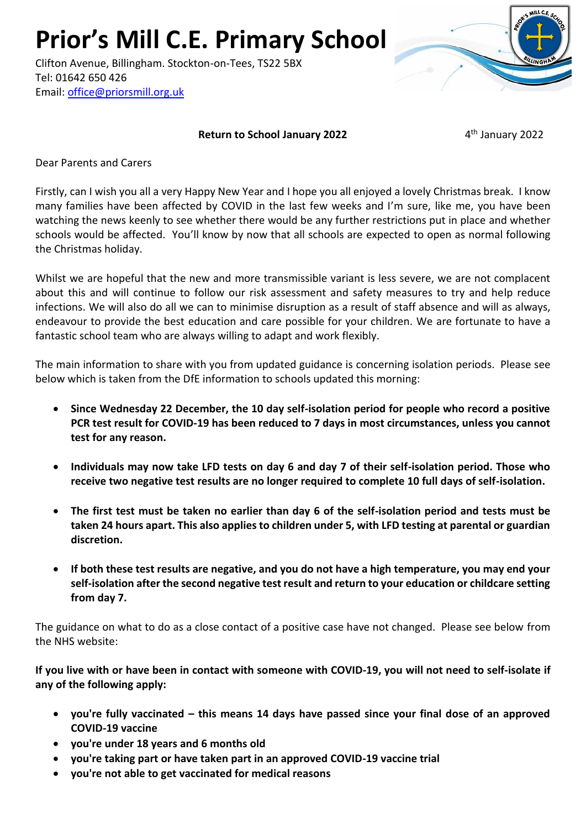**Prior's Mill C.E. Primary School**

Clifton Avenue, Billingham. Stockton-on-Tees, TS22 5BX Tel: 01642 650 426 Email: [office@priorsmill.org.uk](mailto:office@priorsmill.org.uk)

## **Return to School January 2022**

4<sup>th</sup> January 2022

Dear Parents and Carers

Firstly, can I wish you all a very Happy New Year and I hope you all enjoyed a lovely Christmas break. I know many families have been affected by COVID in the last few weeks and I'm sure, like me, you have been watching the news keenly to see whether there would be any further restrictions put in place and whether schools would be affected. You'll know by now that all schools are expected to open as normal following the Christmas holiday.

Whilst we are hopeful that the new and more transmissible variant is less severe, we are not complacent about this and will continue to follow our risk assessment and safety measures to try and help reduce infections. We will also do all we can to minimise disruption as a result of staff absence and will as always, endeavour to provide the best education and care possible for your children. We are fortunate to have a fantastic school team who are always willing to adapt and work flexibly.

The main information to share with you from updated guidance is concerning isolation periods. Please see below which is taken from the DfE information to schools updated this morning:

- **Since Wednesday 22 December, the 10 day self-isolation period for people who record a positive PCR test result for COVID-19 has been reduced to 7 days in most circumstances, unless you cannot test for any reason.**
- **Individuals may now take LFD tests on day 6 and day 7 of their self-isolation period. Those who receive two negative test results are no longer required to complete 10 full days of self-isolation.**
- **The first test must be taken no earlier than day 6 of the self-isolation period and tests must be taken 24 hours apart. This also applies to children under 5, with LFD testing at parental or guardian discretion.**
- **If both these test results are negative, and you do not have a high temperature, you may end your self-isolation after the second negative test result and return to your education or childcare setting from day 7.**

The guidance on what to do as a close contact of a positive case have not changed. Please see below from the NHS website:

**If you live with or have been in contact with someone with COVID-19, you will not need to self-isolate if any of the following apply:**

- **you're fully vaccinated – this means 14 days have passed since your final dose of an approved COVID-19 vaccine**
- **you're under 18 years and 6 months old**
- **you're taking part or have taken part in an approved COVID-19 vaccine trial**
- **you're not able to get vaccinated for medical reasons**